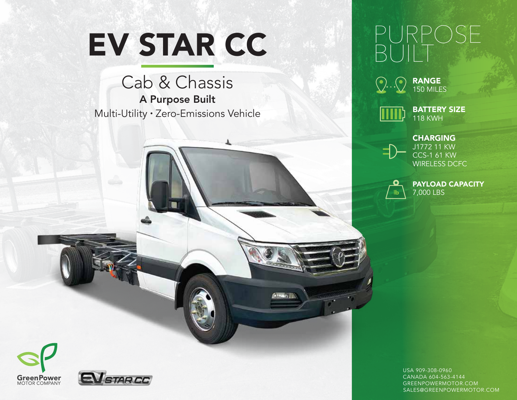# EV STAR CC

Cab & Chassis A Purpose Built Multi-Utility • Zero-Emissions Vehicle





150 MILES



BATTERY SIZE 118 KWH



CHARGING J1772 11 KW CCS-1 61 KW WIRELESS DCFC

PAYLOAD CAPACITY 7,000 LBS





USA 909-308-0960 CANADA 604-563-4144 GREENPOWERMOTOR.COM SALES@GREENPOWERMOTOR.COM